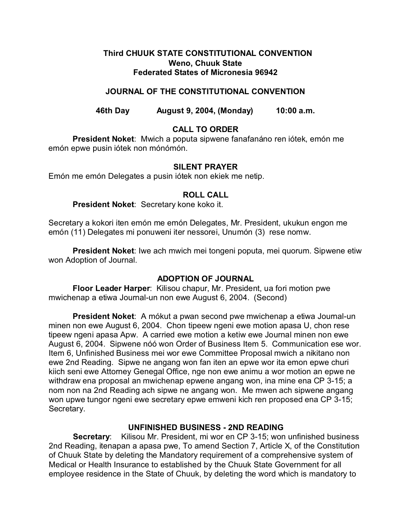# **Third CHUUK STATE CONSTITUTIONAL CONVENTION Weno, Chuuk State Federated States of Micronesia 96942**

# **JOURNAL OF THE CONSTITUTIONAL CONVENTION**

**46th Day August 9, 2004, (Monday) 10:00 a.m.**

# **CALL TO ORDER**

**President Noket**: Mwich a poputa sipwene fanafanáno ren iótek, emón me emón epwe pusin iótek non mónómón.

# **SILENT PRAYER**

Emón me emón Delegates a pusin iótek non ekiek me netip.

# **ROLL CALL**

## **President Noket**: Secretary kone koko it.

Secretary a kokori iten emón me emón Delegates, Mr. President, ukukun engon me emón (11) Delegates mi ponuweni iter nessorei, Unumón (3) rese nomw.

**President Noket**: Iwe ach mwich mei tongeni poputa, mei quorum. Sipwene etiw won Adoption of Journal.

# **ADOPTION OF JOURNAL**

**Floor Leader Harper**: Kilisou chapur, Mr. President, ua fori motion pwe mwichenap a etiwa Journal-un non ewe August 6, 2004. (Second)

**President Noket**: A mókut a pwan second pwe mwichenap a etiwa Journal-un minen non ewe August 6, 2004. Chon tipeew ngeni ewe motion apasa U, chon rese tipeew ngeni apasa Apw. A carried ewe motion a ketiw ewe Journal minen non ewe August 6, 2004. Sipwene nóó won Order of Business Item 5. Communication ese wor. Item 6, Unfinished Business mei wor ewe Committee Proposal mwich a nikitano non ewe 2nd Reading. Sipwe ne angang won fan iten an epwe wor ita emon epwe churi kiich seni ewe Attorney Genegal Office, nge non ewe animu a wor motion an epwe ne withdraw ena proposal an mwichenap epwene angang won, ina mine ena CP 3-15; a nom non na 2nd Reading ach sipwe ne angang won. Me mwen ach sipwene angang won upwe tungor ngeni ewe secretary epwe emweni kich ren proposed ena CP 3-15; Secretary.

# **UNFINISHED BUSINESS - 2ND READING**

**Secretary**: Kilisou Mr. President, mi wor en CP 3-15; won unfinished business 2nd Reading, itenapan a apasa pwe, To amend Section 7, Article X, of the Constitution of Chuuk State by deleting the Mandatory requirement of a comprehensive system of Medical or Health Insurance to established by the Chuuk State Government for all employee residence in the State of Chuuk, by deleting the word which is mandatory to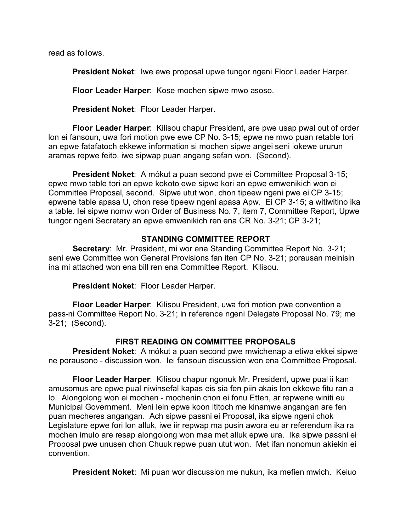read as follows.

**President Noket**: Iwe ewe proposal upwe tungor ngeni Floor Leader Harper.

**Floor Leader Harper**: Kose mochen sipwe mwo asoso.

**President Noket**: Floor Leader Harper.

**Floor Leader Harper**: Kilisou chapur President, are pwe usap pwal out of order lon ei fansoun, uwa fori motion pwe ewe CP No. 3-15; epwe ne mwo puan retable tori an epwe fatafatoch ekkewe information si mochen sipwe angei seni iokewe ururun aramas repwe feito, iwe sipwap puan angang sefan won. (Second).

**President Noket**: A mókut a puan second pwe ei Committee Proposal 3-15; epwe mwo table tori an epwe kokoto ewe sipwe kori an epwe emwenikich won ei Committee Proposal, second. Sipwe utut won, chon tipeew ngeni pwe ei CP 3-15; epwene table apasa U, chon rese tipeew ngeni apasa Apw. Ei CP 3-15; a witiwitino ika a table. Iei sipwe nomw won Order of Business No. 7, item 7, Committee Report, Upwe tungor ngeni Secretary an epwe emwenikich ren ena CR No. 3-21; CP 3-21;

# **STANDING COMMITTEE REPORT**

**Secretary**: Mr. President, mi wor ena Standing Committee Report No. 3-21; seni ewe Committee won General Provisions fan iten CP No. 3-21; porausan meinisin ina mi attached won ena bill ren ena Committee Report. Kilisou.

**President Noket**: Floor Leader Harper.

**Floor Leader Harper**: Kilisou President, uwa fori motion pwe convention a pass-ni Committee Report No. 3-21; in reference ngeni Delegate Proposal No. 79; me 3-21; (Second).

# **FIRST READING ON COMMITTEE PROPOSALS**

**President Noket**: A mókut a puan second pwe mwichenap a etiwa ekkei sipwe ne porausono - discussion won. Iei fansoun discussion won ena Committee Proposal.

**Floor Leader Harper**: Kilisou chapur ngonuk Mr. President, upwe pual ii kan amusomus are epwe pual niwinsefal kapas eis sia fen piin akais lon ekkewe fitu ran a lo. Alongolong won ei mochen - mochenin chon ei fonu Etten, ar repwene winiti eu Municipal Government. Meni lein epwe koon ititoch me kinamwe angangan are fen puan mecheres angangan. Ach sipwe passni ei Proposal, ika sipwe ngeni chok Legislature epwe fori lon alluk, iwe iir repwap ma pusin awora eu ar referendum ika ra mochen imulo are resap alongolong won maa met alluk epwe ura. Ika sipwe passni ei Proposal pwe unusen chon Chuuk repwe puan utut won. Met ifan nonomun akiekin ei convention.

**President Noket**: Mi puan wor discussion me nukun, ika mefien mwich. Keiuo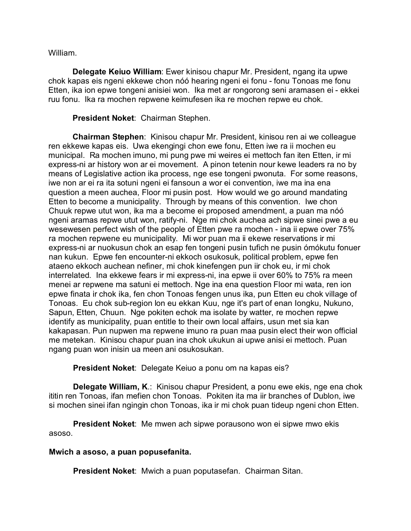William.

**Delegate Keiuo William**: Ewer kinisou chapur Mr. President, ngang ita upwe chok kapas eis ngeni ekkewe chon nóó hearing ngeni ei fonu - fonu Tonoas me fonu Etten, ika ion epwe tongeni anisiei won. Ika met ar rongorong seni aramasen ei - ekkei ruu fonu. Ika ra mochen repwene keimufesen ika re mochen repwe eu chok.

## **President Noket**: Chairman Stephen.

**Chairman Stephen**: Kinisou chapur Mr. President, kinisou ren ai we colleague ren ekkewe kapas eis. Uwa ekengingi chon ewe fonu, Etten iwe ra ii mochen eu municipal. Ra mochen imuno, mi pung pwe mi weires ei mettoch fan iten Etten, ir mi express-ni ar history won ar ei movement. A pinon tetenin nour kewe leaders ra no by means of Legislative action ika process, nge ese tongeni pwonuta. For some reasons, iwe non ar ei ra ita sotuni ngeni ei fansoun a wor ei convention, iwe ma ina ena question a meen auchea, Floor mi pusin post. How would we go around mandating Etten to become a municipality. Through by means of this convention. Iwe chon Chuuk repwe utut won, ika ma a become ei proposed amendment, a puan ma nóó ngeni aramas repwe utut won, ratify-ni. Nge mi chok auchea ach sipwe sinei pwe a eu wesewesen perfect wish of the people of Etten pwe ra mochen - ina ii epwe over 75% ra mochen repwene eu municipality. Mi wor puan ma ii ekewe reservations ir mi express-ni ar nuokusun chok an esap fen tongeni pusin tufich ne pusin ómókutu fonuer nan kukun. Epwe fen encounter-ni ekkoch osukosuk, political problem, epwe fen ataeno ekkoch auchean nefiner, mi chok kinefengen pun iir chok eu, ir mi chok interrelated. Ina ekkewe fears ir mi express-ni, ina epwe ii over 60% to 75% ra meen menei ar repwene ma satuni ei mettoch. Nge ina ena question Floor mi wata, ren ion epwe finata ir chok ika, fen chon Tonoas fengen unus ika, pun Etten eu chok village of Tonoas. Eu chok sub-region lon eu ekkan Kuu, nge it's part of enan Iongku, Nukuno, Sapun, Etten, Chuun. Nge pokiten echok ma isolate by watter, re mochen repwe identify as municipality, puan entitle to their own local affairs, usun met sia kan kakapasan. Pun nupwen ma repwene imuno ra puan maa pusin elect their won official me metekan. Kinisou chapur puan ina chok ukukun ai upwe anisi ei mettoch. Puan ngang puan won inisin ua meen ani osukosukan.

**President Noket**: Delegate Keiuo a ponu om na kapas eis?

**Delegate William, K**.: Kinisou chapur President, a ponu ewe ekis, nge ena chok ititin ren Tonoas, ifan mefien chon Tonoas. Pokiten ita ma iir branches of Dublon, iwe si mochen sinei ifan ngingin chon Tonoas, ika ir mi chok puan tideup ngeni chon Etten.

**President Noket**: Me mwen ach sipwe porausono won ei sipwe mwo ekis asoso.

# **Mwich a asoso, a puan popusefanita.**

**President Noket**: Mwich a puan poputasefan. Chairman Sitan.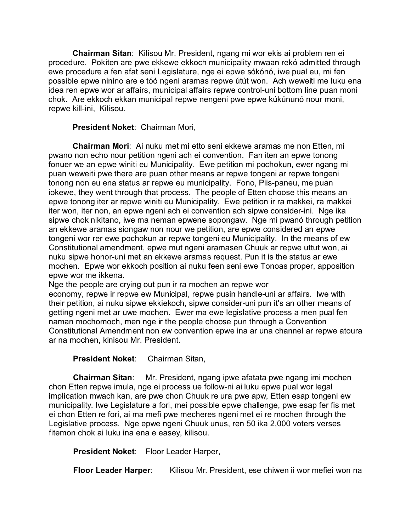**Chairman Sitan**: Kilisou Mr. President, ngang mi wor ekis ai problem ren ei procedure. Pokiten are pwe ekkewe ekkoch municipality mwaan rekó admitted through ewe procedure a fen afat seni Legislature, nge ei epwe sókónó, iwe pual eu, mi fen possible epwe ninino are e tóó ngeni aramas repwe útút won. Ach weweiti me luku ena idea ren epwe wor ar affairs, municipal affairs repwe control-uni bottom line puan moni chok. Are ekkoch ekkan municipal repwe nengeni pwe epwe kúkúnunó nour moni, repwe kill-ini, Kilisou.

# **President Noket**: Chairman Mori,

**Chairman Mori**: Ai nuku met mi etto seni ekkewe aramas me non Etten, mi pwano non echo nour petition ngeni ach ei convention. Fan iten an epwe tonong fonuer we an epwe winiti eu Municipality. Ewe petition mi pochokun, ewer ngang mi puan weweiti pwe there are puan other means ar repwe tongeni ar repwe tongeni tonong non eu ena status ar repwe eu municipality. Fono, Piis-paneu, me puan iokewe, they went through that process. The people of Etten choose this means an epwe tonong iter ar repwe winiti eu Municipality. Ewe petition ir ra makkei, ra makkei iter won, iter non, an epwe ngeni ach ei convention ach sipwe consider-ini. Nge ika sipwe chok nikitano, iwe ma neman epwene sopongaw. Nge mi pwanó through petition an ekkewe aramas siongaw non nour we petition, are epwe considered an epwe tongeni wor rer ewe pochokun ar repwe tongeni eu Municipality. In the means of ew Constitutional amendment, epwe mut ngeni aramasen Chuuk ar repwe uttut won, ai nuku sipwe honor-uni met an ekkewe aramas request. Pun it is the status ar ewe mochen. Epwe wor ekkoch position ai nuku feen seni ewe Tonoas proper, apposition epwe wor me ikkena.

Nge the people are crying out pun ir ra mochen an repwe wor economy, repwe ir repwe ew Municipal, repwe pusin handle-uni ar affairs. Iwe with their petition, ai nuku sipwe ekkiekoch, sipwe consider-uni pun it's an other means of getting ngeni met ar uwe mochen. Ewer ma ewe legislative process a men pual fen naman mochomoch, men nge ir the people choose pun through a Convention Constitutional Amendment non ew convention epwe ina ar una channel ar repwe atoura ar na mochen, kinisou Mr. President.

# **President Noket**: Chairman Sitan,

**Chairman Sitan**: Mr. President, ngang ipwe afatata pwe ngang imi mochen chon Etten repwe imula, nge ei process ue follow-ni ai luku epwe pual wor legal implication mwach kan, are pwe chon Chuuk re ura pwe apw, Etten esap tongeni ew municipality. Iwe Legislature a fori, mei possible epwe challenge, pwe esap fer fis met ei chon Etten re fori, ai ma mefi pwe mecheres ngeni met ei re mochen through the Legislative process. Nge epwe ngeni Chuuk unus, ren 50 ika 2,000 voters verses fitemon chok ai luku ina ena e easey, kilisou.

**President Noket**: Floor Leader Harper,

**Floor Leader Harper**: Kilisou Mr. President, ese chiwen ii wor mefiei won na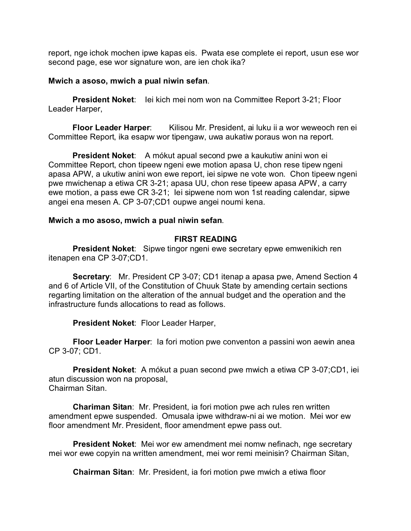report, nge ichok mochen ipwe kapas eis. Pwata ese complete ei report, usun ese wor second page, ese wor signature won, are ien chok ika?

### **Mwich a asoso, mwich a pual niwin sefan**.

**President Noket:** lei kich mei nom won na Committee Report 3-21; Floor Leader Harper,

**Floor Leader Harper**: Kilisou Mr. President, ai luku ii a wor weweoch ren ei Committee Report, ika esapw wor tipengaw, uwa aukatiw poraus won na report.

**President Noket:** A mókut apual second pwe a kaukutiw anini won ei Committee Report, chon tipeew ngeni ewe motion apasa U, chon rese tipew ngeni apasa APW, a ukutiw anini won ewe report, iei sipwe ne vote won. Chon tipeew ngeni pwe mwichenap a etiwa CR 3-21; apasa UU, chon rese tipeew apasa APW, a carry ewe motion, a pass ewe CR 3-21; Iei sipwene nom won 1st reading calendar, sipwe angei ena mesen A. CP 3-07;CD1 oupwe angei noumi kena.

### **Mwich a mo asoso, mwich a pual niwin sefan**.

### **FIRST READING**

**President Noket**: Sipwe tingor ngeni ewe secretary epwe emwenikich ren itenapen ena CP 3-07;CD1.

**Secretary**: Mr. President CP 3-07; CD1 itenap a apasa pwe, Amend Section 4 and 6 of Article VII, of the Constitution of Chuuk State by amending certain sections regarting limitation on the alteration of the annual budget and the operation and the infrastructure funds allocations to read as follows.

**President Noket**: Floor Leader Harper,

**Floor Leader Harper**: Ia fori motion pwe conventon a passini won aewin anea CP 3-07; CD1.

**President Noket**: A mókut a puan second pwe mwich a etiwa CP 3-07;CD1, iei atun discussion won na proposal, Chairman Sitan.

**Chariman Sitan**: Mr. President, ia fori motion pwe ach rules ren written amendment epwe suspended. Omusala ipwe withdraw-ni ai we motion. Mei wor ew floor amendment Mr. President, floor amendment epwe pass out.

**President Noket**: Mei wor ew amendment mei nomw nefinach, nge secretary mei wor ewe copyin na written amendment, mei wor remi meinisin? Chairman Sitan,

**Chairman Sitan**: Mr. President, ia fori motion pwe mwich a etiwa floor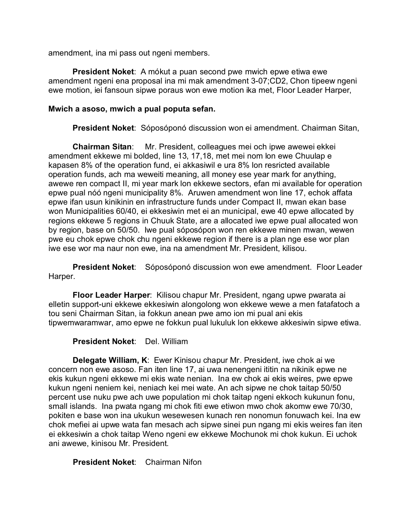amendment, ina mi pass out ngeni members.

**President Noket**: A mókut a puan second pwe mwich epwe etiwa ewe amendment ngeni ena proposal ina mi mak amendment 3-07;CD2, Chon tipeew ngeni ewe motion, iei fansoun sipwe poraus won ewe motion ika met, Floor Leader Harper,

## **Mwich a asoso, mwich a pual poputa sefan.**

**President Noket**: Sóposóponó discussion won ei amendment. Chairman Sitan,

**Chairman Sitan**: Mr. President, colleagues mei och ipwe awewei ekkei amendment ekkewe mi bolded, line 13, 17,18, met mei nom lon ewe Chuulap e kapasen 8% of the operation fund, ei akkasiwil e ura 8% lon resricted available operation funds, ach ma weweiti meaning, all money ese year mark for anything, awewe ren compact II, mi year mark lon ekkewe sectors, efan mi available for operation epwe pual nóó ngeni municipality 8%. Aruwen amendment won line 17, echok affata epwe ifan usun kinikinin en infrastructure funds under Compact II, mwan ekan base won Municipalities 60/40, ei ekkesiwin met ei an municipal, ewe 40 epwe allocated by regions ekkewe 5 regions in Chuuk State, are a allocated iwe epwe pual allocated won by region, base on 50/50. Iwe pual sóposópon won ren ekkewe minen mwan, wewen pwe eu chok epwe chok chu ngeni ekkewe region if there is a plan nge ese wor plan iwe ese wor ma naur non ewe, ina na amendment Mr. President, kilisou.

**President Noket**: Sóposóponó discussion won ewe amendment. Floor Leader Harper.

**Floor Leader Harper**: Kilisou chapur Mr. President, ngang upwe pwarata ai elletin support-uni ekkewe ekkesiwin alongolong won ekkewe wewe a men fatafatoch a tou seni Chairman Sitan, ia fokkun anean pwe amo ion mi pual ani ekis tipwemwaramwar, amo epwe ne fokkun pual lukuluk lon ekkewe akkesiwin sipwe etiwa.

**President Noket**: Del. William

**Delegate William, K**: Ewer Kinisou chapur Mr. President, iwe chok ai we concern non ewe asoso. Fan iten line 17, ai uwa nenengeni ititin na nikinik epwe ne ekis kukun ngeni ekkewe mi ekis wate nenian. Ina ew chok ai ekis weires, pwe epwe kukun ngeni neniem kei, neniach kei mei wate. An ach sipwe ne chok taitap 50/50 percent use nuku pwe ach uwe population mi chok taitap ngeni ekkoch kukunun fonu, small islands. Ina pwata ngang mi chok fiti ewe etiwon mwo chok akomw ewe 70/30, pokiten e base won ina ukukun wesewesen kunach ren nonomun fonuwach kei. Ina ew chok mefiei ai upwe wata fan mesach ach sipwe sinei pun ngang mi ekis weires fan iten ei ekkesiwin a chok taitap Weno ngeni ew ekkewe Mochunok mi chok kukun. Ei uchok ani awewe, kinisou Mr. President.

**President Noket**: Chairman Nifon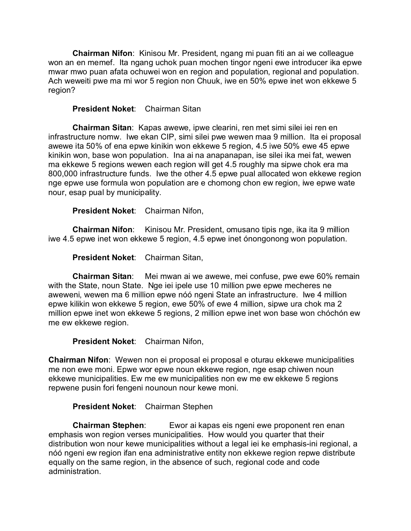**Chairman Nifon**: Kinisou Mr. President, ngang mi puan fiti an ai we colleague won an en memef. Ita ngang uchok puan mochen tingor ngeni ewe introducer ika epwe mwar mwo puan afata ochuwei won en region and population, regional and population. Ach weweiti pwe ma mi wor 5 region non Chuuk, iwe en 50% epwe inet won ekkewe 5 region?

# **President Noket**: Chairman Sitan

**Chairman Sitan**: Kapas awewe, ipwe clearini, ren met simi silei iei ren en infrastructure nomw. Iwe ekan CIP, simi silei pwe wewen maa 9 million. Ita ei proposal awewe ita 50% of ena epwe kinikin won ekkewe 5 region, 4.5 iwe 50% ewe 45 epwe kinikin won, base won population. Ina ai na anapanapan, ise silei ika mei fat, wewen ma ekkewe 5 regions wewen each region will get 4.5 roughly ma sipwe chok era ma 800,000 infrastructure funds. Iwe the other 4.5 epwe pual allocated won ekkewe region nge epwe use formula won population are e chomong chon ew region, iwe epwe wate nour, esap pual by municipality.

**President Noket**: Chairman Nifon,

**Chairman Nifon**: Kinisou Mr. President, omusano tipis nge, ika ita 9 million iwe 4.5 epwe inet won ekkewe 5 region, 4.5 epwe inet ónongonong won population.

**President Noket**: Chairman Sitan,

**Chairman Sitan**: Mei mwan ai we awewe, mei confuse, pwe ewe 60% remain with the State, noun State. Nge iei ipele use 10 million pwe epwe mecheres ne aweweni, wewen ma 6 million epwe nóó ngeni State an infrastructure. Iwe 4 million epwe kilikin won ekkewe 5 region, ewe 50% of ewe 4 million, sipwe ura chok ma 2 million epwe inet won ekkewe 5 regions, 2 million epwe inet won base won chóchón ew me ew ekkewe region.

**President Noket**: Chairman Nifon,

**Chairman Nifon**: Wewen non ei proposal ei proposal e oturau ekkewe municipalities me non ewe moni. Epwe wor epwe noun ekkewe region, nge esap chiwen noun ekkewe municipalities. Ew me ew municipalities non ew me ew ekkewe 5 regions repwene pusin fori fengeni nounoun nour kewe moni.

# **President Noket**: Chairman Stephen

**Chairman Stephen**: Ewor ai kapas eis ngeni ewe proponent ren enan emphasis won region verses municipalities. How would you quarter that their distribution won nour kewe municipalities without a legal iei ke emphasis-ini regional, a nóó ngeni ew region ifan ena administrative entity non ekkewe region repwe distribute equally on the same region, in the absence of such, regional code and code administration.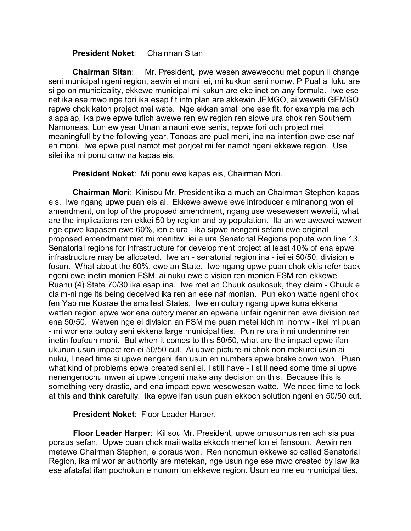## **President Noket**: Chairman Sitan

**Chairman Sitan**: Mr. President, ipwe wesen aweweochu met popun ii change seni municipal ngeni region, aewin ei moni iei, mi kukkun seni nomw. P Pual ai luku are si go on municipality, ekkewe municipal mi kukun are eke inet on any formula. Iwe ese net ika ese mwo nge tori ika esap fit into plan are akkewin JEMGO, ai weweiti GEMGO repwe chok katon project mei wate. Nge ekkan small one ese fit, for example ma ach alapalap, ika pwe epwe tufich awewe ren ew region ren sipwe ura chok ren Southern Namoneas. Lon ew year Uman a nauni ewe senis, repwe fori och project mei meaningfull by the following year, Tonoas are pual meni, ina na intention pwe ese naf en moni. Iwe epwe pual namot met porjcet mi fer namot ngeni ekkewe region. Use silei ika mi ponu omw na kapas eis.

**President Noket**: Mi ponu ewe kapas eis, Chairman Mori.

**Chairman Mori**: Kinisou Mr. President ika a much an Chairman Stephen kapas eis. Iwe ngang upwe puan eis ai. Ekkewe awewe ewe introducer e minanong won ei amendment, on top of the proposed amendment, ngang use wesewesen weweiti, what are the implications ren ekkei 50 by region and by population. Ita an we awewei wewen nge epwe kapasen ewe 60%, ien e ura - ika sipwe nengeni sefani ewe original proposed amendment met mi menitiw, iei e ura Senatorial Regions poputa won line 13. Senatorial regions for infrastructure for development project at least 40% of ena epwe infrastructure may be allocated. Iwe an - senatorial region ina - iei ei 50/50, division e fosun. What about the 60%, ewe an State. Iwe ngang upwe puan chok ekis refer back ngeni ewe inetin monien FSM, ai nuku ewe division ren monien FSM ren ekkewe Ruanu (4) State 70/30 ika esap ina. Iwe met an Chuuk osukosuk, they claim - Chuuk e claim-ni nge its being deceived ika ren an ese naf monian. Pun ekon watte ngeni chok fen Yap me Kosrae the smallest States. Iwe en outcry ngang upwe kuna ekkena watten region epwe wor ena outcry merer an epwene unfair ngenir ren ewe division ren ena 50/50. Wewen nge ei division an FSM me puan metei kich mi nomw - ikei mi puan - mi wor ena outcry seni ekkena large municipalities. Pun re ura ir mi undermine ren inetin foufoun moni. But when it comes to this 50/50, what are the impact epwe ifan ukunun usun impact ren ei 50/50 cut. Ai upwe picture-ni chok non mokurei usun ai nuku, I need time ai upwe nengeni ifan usun en numbers epwe brake down won. Puan what kind of problems epwe created seni ei. I still have - I still need some time ai upwe nenengenochu mwen ai upwe tongeni make any decision on this. Because this is something very drastic, and ena impact epwe wesewesen watte. We need time to look at this and think carefully. Ika epwe ifan usun puan ekkoch solution ngeni en 50/50 cut.

**President Noket**: Floor Leader Harper.

**Floor Leader Harper**: Kilisou Mr. President, upwe omusomus ren ach sia pual poraus sefan. Upwe puan chok maii watta ekkoch memef lon ei fansoun. Aewin ren metewe Chairman Stephen, e poraus won. Ren nonomun ekkewe so called Senatorial Region, ika mi wor ar authority are metekan, nge usun nge ese mwo created by law ika ese afatafat ifan pochokun e nonom lon ekkewe region. Usun eu me eu municipalities.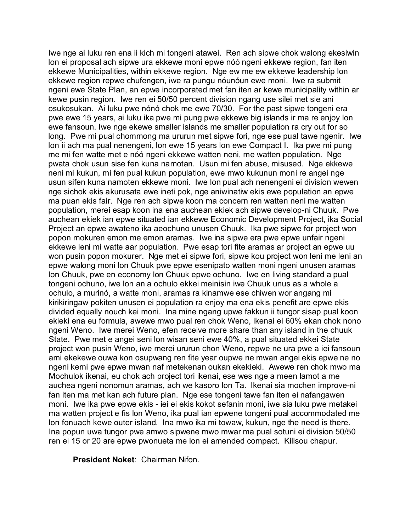Iwe nge ai luku ren ena ii kich mi tongeni atawei. Ren ach sipwe chok walong ekesiwin lon ei proposal ach sipwe ura ekkewe moni epwe nóó ngeni ekkewe region, fan iten ekkewe Municipalities, within ekkewe region. Nge ew me ew ekkewe leadership lon ekkewe region repwe chufengen, iwe ra pungu nóunóun ewe moni. Iwe ra submit ngeni ewe State Plan, an epwe incorporated met fan iten ar kewe municipality within ar kewe pusin region. Iwe ren ei 50/50 percent division ngang use silei met sie ani osukosukan. Ai luku pwe nónó chok me ewe 70/30. For the past sipwe tongeni era pwe ewe 15 years, ai luku ika pwe mi pung pwe ekkewe big islands ir ma re enjoy lon ewe fansoun. Iwe nge ekewe smaller islands me smaller population ra cry out for so long. Pwe mi pual chommong ma ururun met sipwe fori, nge ese pual tawe ngenir. Iwe lon ii ach ma pual nenengeni, lon ewe 15 years lon ewe Compact I. Ika pwe mi pung me mi fen watte met e nóó ngeni ekkewe watten neni, me watten population. Nge pwata chok usun sise fen kuna namotan. Usun mi fen abuse, misused. Nge ekkewe neni mi kukun, mi fen pual kukun population, ewe mwo kukunun moni re angei nge usun sifen kuna namoten ekkewe moni. Iwe lon pual ach nenengeni ei division wewen nge sichok ekis akurusata ewe ineti pok, nge aniwinatiw ekis ewe population an epwe ma puan ekis fair. Nge ren ach sipwe koon ma concern ren watten neni me watten population, merei esap koon ina ena auchean ekiek ach sipwe develop-ni Chuuk. Pwe auchean ekiek ian epwe situated ian ekkewe Economic Development Project, ika Social Project an epwe awateno ika aeochuno unusen Chuuk. Ika pwe sipwe for project won popon mokuren emon me emon aramas. Iwe ina sipwe era pwe epwe unfair ngeni ekkewe leni mi watte aar population. Pwe esap tori fite aramas ar project an epwe uu won pusin popon mokurer. Nge met ei sipwe fori, sipwe kou project won leni me leni an epwe walong moni lon Chuuk pwe epwe esenipato watten moni ngeni unusen aramas lon Chuuk, pwe en economy lon Chuuk epwe ochuno. Iwe en living standard a pual tongeni ochuno, iwe lon an a ochulo ekkei meinisin iwe Chuuk unus as a whole a ochulo, a murinó, a watte moni, aramas ra kinamwe ese chiwen wor angang mi kirikiringaw pokiten unusen ei population ra enjoy ma ena ekis penefit are epwe ekis divided equally nouch kei moni. Ina mine ngang upwe fakkun ii tungor sisap pual koon ekieki ena eu formula, awewe mwo pual ren chok Weno, ikenai ei 60% ekan chok nono ngeni Weno. Iwe merei Weno, efen receive more share than any island in the chuuk State. Pwe met e angei seni lon wisan seni ewe 40%, a pual situated ekkei State project won pusin Weno, iwe merei ururun chon Weno, repwe ne ura pwe a iei fansoun ami ekekewe ouwa kon osupwang ren fite year oupwe ne mwan angei ekis epwe ne no ngeni kemi pwe epwe mwan naf metekenan oukan ekekieki. Awewe ren chok mwo ma Mochulok ikenai, eu chok ach project tori ikenai, ese wes nge a meen lamot a me auchea ngeni nonomun aramas, ach we kasoro lon Ta. Ikenai sia mochen improve-ni fan iten ma met kan ach future plan. Nge ese tongeni tawe fan iten ei nafangawen moni. Iwe ika pwe epwe ekis - iei ei ekis kokot sefanin moni, iwe sia luku pwe metakei ma watten project e fis lon Weno, ika pual ian epwene tongeni pual accommodated me lon fonuach kewe outer island. Ina mwo ika mi towaw, kukun, nge the need is there. Ina popun uwa tungor pwe amwo sipwene mwo mwar ma pual sotuni ei division 50/50 ren ei 15 or 20 are epwe pwonueta me lon ei amended compact. Kilisou chapur.

**President Noket**: Chairman Nifon.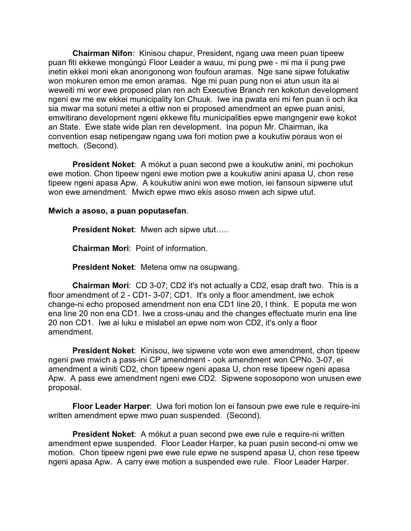**Chairman Nifon**: Kinisou chapur, President, ngang uwa meen puan tipeew puan fiti ekkewe mongúngú Floor Leader a wauu, mi pung pwe - mi ma ii pung pwe inetin ekkei moni ekan anongonong won foufoun aramas. Nge sane sipwe fotukatiw won mokuren emon me emon aramas. Nge mi puan pung non ei atun usun ita ai weweiti mi wor ewe proposed plan ren ach Executive Branch ren kokotun development ngeni ew me ew ekkei municipality lon Chuuk. Iwe ina pwata eni mi fen puan ii och ika sia mwar ma sotuni metei a ettiw non ei proposed amendment an epwe puan anisi, emwitirano development ngeni ekkewe fitu municipalities epwe mangngenir ewe kokot an State. Ewe state wide plan ren development. Ina popun Mr. Chairman, ika convention esap netipengaw ngang uwa fori motion pwe a koukutiw poraus won ei mettoch. (Second).

**President Noket**: A mókut a puan second pwe a koukutiw anini, mi pochokun ewe motion. Chon tipeew ngeni ewe motion pwe a koukutiw anini apasa U, chon rese tipeew ngeni apasa Apw. A koukutiw anini won ewe motion, iei fansoun sipwene utut won ewe amendment. Mwich epwe mwo ekis asoso mwen ach sipwe utut.

**Mwich a asoso, a puan poputasefan**.

**President Noket**: Mwen ach sipwe utut…..

**Chairman Mori**: Point of information.

**President Noket**: Metena omw na osupwang.

**Chairman Mori**: CD 3-07; CD2 it's not actually a CD2, esap draft two. This is a floor amendment of 2 - CD1- 3-07; CD1. It's only a floor amendment, iwe echok change-ni echo proposed amendment non ena CD1 line 20, I think. E poputa me won ena line 20 non ena CD1. Iwe a cross-unau and the changes effectuate murin ena line 20 non CD1. Iwe ai luku e mislabel an epwe nom won CD2, it's only a floor amendment.

**President Noket**: Kinisou, iwe sipwene vote won ewe amendment, chon tipeew ngeni pwe mwich a pass-ini CP amendment - ook amendment won CPNo. 3-07, ei amendment a winiti CD2, chon tipeew ngeni apasa U, chon rese tipeew ngeni apasa Apw. A pass ewe amendment ngeni ewe CD2. Sipwene soposopono won unusen ewe proposal.

**Floor Leader Harper**: Uwa fori motion lon ei fansoun pwe ewe rule e require-ini written amendment epwe mwo puan suspended. (Second).

**President Noket**: A mókut a puan second pwe ewe rule e require-ni written amendment epwe suspended. Floor Leader Harper, ka puan pusin second-ni omw we motion. Chon tipeew ngeni pwe ewe rule epwe ne suspend apasa U, chon rese tipeew ngeni apasa Apw. A carry ewe motion a suspended ewe rule. Floor Leader Harper.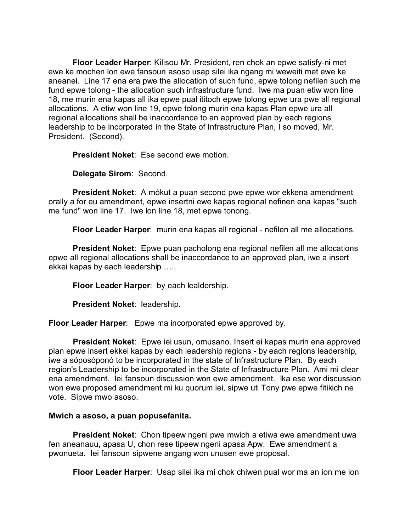**Floor Leader Harper**: Kilisou Mr. President, ren chok an epwe satisfy-ni met ewe ke mochen lon ewe fansoun asoso usap silei ika ngang mi weweiti met ewe ke aneanei. Line 17 ena era pwe the allocation of such fund, epwe tolong nefilen such me fund epwe tolong - the allocation such infrastructure fund. Iwe ma puan etiw won line 18, me murin ena kapas all ika epwe pual ititoch epwe tolong epwe ura pwe all regional allocations. A etiw won line 19, epwe tolong murin ena kapas Plan epwe ura all regional allocations shall be inaccordance to an approved plan by each regions leadership to be incorporated in the State of Infrastructure Plan, I so moved, Mr. President. (Second).

**President Noket**: Ese second ewe motion.

**Delegate Sirom**: Second.

**President Noket**: A mókut a puan second pwe epwe wor ekkena amendment orally a for eu amendment, epwe insertni ewe kapas regional nefinen ena kapas "such me fund" won line 17. Iwe lon line 18, met epwe tonong.

**Floor Leader Harper**: murin ena kapas all regional - nefilen all me allocations.

**President Noket**: Epwe puan pacholong ena regional nefilen all me allocations epwe all regional allocations shall be inaccordance to an approved plan, iwe a insert ekkei kapas by each leadership …..

**Floor Leader Harper**: by each lealdership.

**President Noket**: leadership.

**Floor Leader Harper**: Epwe ma incorporated epwe approved by.

**President Noket**: Epwe iei usun, omusano. Insert ei kapas murin ena approved plan epwe insert ekkei kapas by each leadership regions - by each regions leadership, iwe a sóposóponó to be incorporated in the state of Infrastructure Plan. By each region's Leadership to be incorporated in the State of Infrastructure Plan. Ami mi clear ena amendment. Iei fansoun discussion won ewe amendment. Ika ese wor discussion won ewe proposed amendment mi ku quorum iei, sipwe uti Tony pwe epwe fitikich ne vote. Sipwe mwo asoso.

### **Mwich a asoso, a puan popusefanita.**

**President Noket:** Chon tipeew ngeni pwe mwich a etiwa ewe amendment uwa fen aneanauu, apasa U, chon rese tipeew ngeni apasa Apw. Ewe amendment a pwonueta. Iei fansoun sipwene angang won unusen ewe proposal.

**Floor Leader Harper**: Usap silei ika mi chok chiwen pual wor ma an ion me ion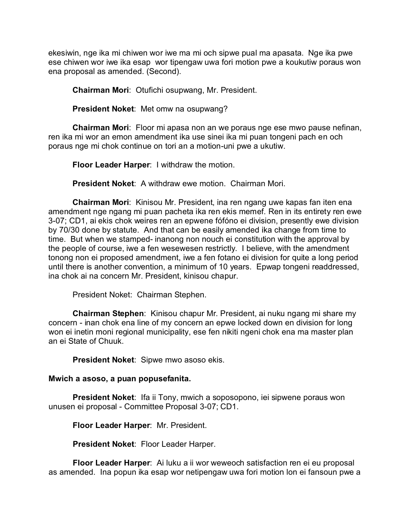ekesiwin, nge ika mi chiwen wor iwe ma mi och sipwe pual ma apasata. Nge ika pwe ese chiwen wor iwe ika esap wor tipengaw uwa fori motion pwe a koukutiw poraus won ena proposal as amended. (Second).

**Chairman Mori**: Otufichi osupwang, Mr. President.

**President Noket**: Met omw na osupwang?

**Chairman Mori**: Floor mi apasa non an we poraus nge ese mwo pause nefinan, ren ika mi wor an emon amendment ika use sinei ika mi puan tongeni pach en och poraus nge mi chok continue on tori an a motion-uni pwe a ukutiw.

**Floor Leader Harper**: I withdraw the motion.

**President Noket**: A withdraw ewe motion. Chairman Mori.

**Chairman Mori**: Kinisou Mr. President, ina ren ngang uwe kapas fan iten ena amendment nge ngang mi puan pacheta ika ren ekis memef. Ren in its entirety ren ewe 3-07; CD1, ai ekis chok weires ren an epwene fófóno ei division, presently ewe division by 70/30 done by statute. And that can be easily amended ika change from time to time. But when we stamped- inanong non nouch ei constitution with the approval by the people of course, iwe a fen wesewesen restrictly. I believe, with the amendment tonong non ei proposed amendment, iwe a fen fotano ei division for quite a long period until there is another convention, a minimum of 10 years. Epwap tongeni readdressed, ina chok ai na concern Mr. President, kinisou chapur.

President Noket: Chairman Stephen.

**Chairman Stephen**: Kinisou chapur Mr. President, ai nuku ngang mi share my concern - inan chok ena line of my concern an epwe locked down en division for long won ei inetin moni regional municipality, ese fen nikiti ngeni chok ena ma master plan an ei State of Chuuk.

**President Noket**: Sipwe mwo asoso ekis.

### **Mwich a asoso, a puan popusefanita.**

**President Noket**: Ifa ii Tony, mwich a soposopono, iei sipwene poraus won unusen ei proposal - Committee Proposal 3-07; CD1.

**Floor Leader Harper**: Mr. President.

**President Noket**: Floor Leader Harper.

**Floor Leader Harper**: Ai luku a ii wor weweoch satisfaction ren ei eu proposal as amended. Ina popun ika esap wor netipengaw uwa fori motion lon ei fansoun pwe a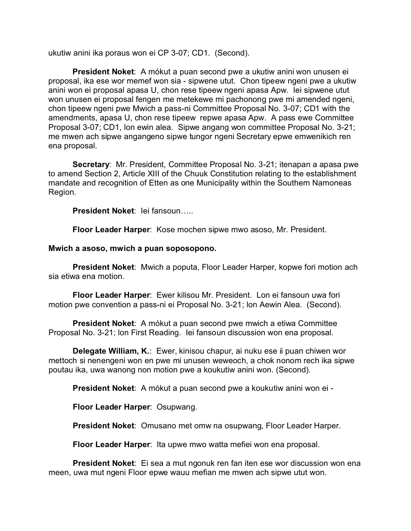ukutiw anini ika poraus won ei CP 3-07; CD1. (Second).

**President Noket**: A mókut a puan second pwe a ukutiw anini won unusen ei proposal, ika ese wor memef won sia - sipwene utut. Chon tipeew ngeni pwe a ukutiw anini won ei proposal apasa U, chon rese tipeew ngeni apasa Apw. Iei sipwene utut won unusen ei proposal fengen me metekewe mi pachonong pwe mi amended ngeni, chon tipeew ngeni pwe Mwich a pass-ni Committee Proposal No. 3-07; CD1 with the amendments, apasa U, chon rese tipeew repwe apasa Apw. A pass ewe Committee Proposal 3-07; CD1, lon ewin alea. Sipwe angang won committee Proposal No. 3-21; me mwen ach sipwe angangeno sipwe tungor ngeni Secretary epwe emwenikich ren ena proposal.

**Secretary**: Mr. President, Committee Proposal No. 3-21; itenapan a apasa pwe to amend Section 2, Article XIII of the Chuuk Constitution relating to the establishment mandate and recognition of Etten as one Municipality within the Southern Namoneas Region.

**President Noket**: Iei fansoun…..

**Floor Leader Harper**: Kose mochen sipwe mwo asoso, Mr. President.

### **Mwich a asoso, mwich a puan soposopono.**

**President Noket**: Mwich a poputa, Floor Leader Harper, kopwe fori motion ach sia etiwa ena motion.

**Floor Leader Harper**: Ewer kilisou Mr. President. Lon ei fansoun uwa fori motion pwe convention a pass-ni ei Proposal No. 3-21; lon Aewin Alea. (Second).

**President Noket**: A mókut a puan second pwe mwich a etiwa Committee Proposal No. 3-21; lon First Reading. Iei fansoun discussion won ena proposal.

**Delegate William, K.**: Ewer, kinisou chapur, ai nuku ese ii puan chiwen wor mettoch si nenengeni won en pwe mi unusen weweoch, a chok nonom rech ika sipwe poutau ika, uwa wanong non motion pwe a koukutiw anini won. (Second).

**President Noket**: A mókut a puan second pwe a koukutiw anini won ei -

**Floor Leader Harper**: Osupwang.

**President Noket**: Omusano met omw na osupwang, Floor Leader Harper.

**Floor Leader Harper**: Ita upwe mwo watta mefiei won ena proposal.

**President Noket**: Ei sea a mut ngonuk ren fan iten ese wor discussion won ena meen, uwa mut ngeni Floor epwe wauu mefian me mwen ach sipwe utut won.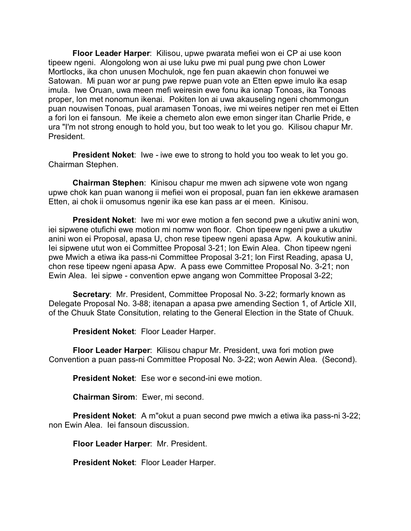**Floor Leader Harper**: Kilisou, upwe pwarata mefiei won ei CP ai use koon tipeew ngeni. Alongolong won ai use luku pwe mi pual pung pwe chon Lower Mortlocks, ika chon unusen Mochulok, nge fen puan akaewin chon fonuwei we Satowan. Mi puan wor ar pung pwe repwe puan vote an Etten epwe imulo ika esap imula. Iwe Oruan, uwa meen mefi weiresin ewe fonu ika ionap Tonoas, ika Tonoas proper, lon met nonomun ikenai. Pokiten lon ai uwa akauseling ngeni chommongun puan nouwisen Tonoas, pual aramasen Tonoas, iwe mi weires netiper ren met ei Etten a fori lon ei fansoun. Me ikeie a chemeto alon ewe emon singer itan Charlie Pride, e ura "I'm not strong enough to hold you, but too weak to let you go. Kilisou chapur Mr. President.

**President Noket**: Iwe - iwe ewe to strong to hold you too weak to let you go. Chairman Stephen.

**Chairman Stephen**: Kinisou chapur me mwen ach sipwene vote won ngang upwe chok kan puan wanong ii mefiei won ei proposal, puan fan ien ekkewe aramasen Etten, ai chok ii omusomus ngenir ika ese kan pass ar ei meen. Kinisou.

**President Noket**: Iwe mi wor ewe motion a fen second pwe a ukutiw anini won, iei sipwene otufichi ewe motion mi nomw won floor. Chon tipeew ngeni pwe a ukutiw anini won ei Proposal, apasa U, chon rese tipeew ngeni apasa Apw. A koukutiw anini. Iei sipwene utut won ei Committee Proposal 3-21; lon Ewin Alea. Chon tipeew ngeni pwe Mwich a etiwa ika pass-ni Committee Proposal 3-21; lon First Reading, apasa U, chon rese tipeew ngeni apasa Apw. A pass ewe Committee Proposal No. 3-21; non Ewin Alea. Iei sipwe - convention epwe angang won Committee Proposal 3-22;

**Secretary**: Mr. President, Committee Proposal No. 3-22; formarly known as Delegate Proposal No. 3-88; itenapan a apasa pwe amending Section 1, of Article XII, of the Chuuk State Consitution, relating to the General Election in the State of Chuuk.

**President Noket**: Floor Leader Harper.

**Floor Leader Harper**: Kilisou chapur Mr. President, uwa fori motion pwe Convention a puan pass-ni Committee Proposal No. 3-22; won Aewin Alea. (Second).

**President Noket**: Ese wor e second-ini ewe motion.

**Chairman Sirom**: Ewer, mi second.

**President Noket**: A m"okut a puan second pwe mwich a etiwa ika pass-ni 3-22; non Ewin Alea. Iei fansoun discussion.

**Floor Leader Harper**: Mr. President.

**President Noket**: Floor Leader Harper.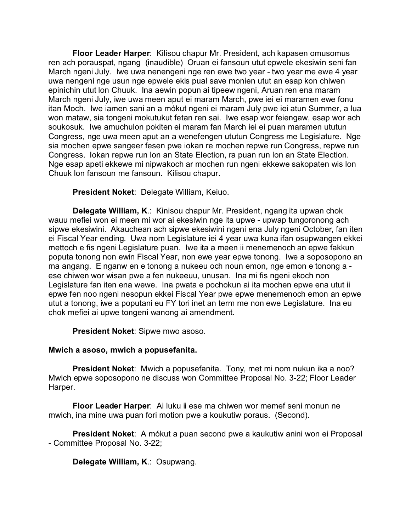**Floor Leader Harper**: Kilisou chapur Mr. President, ach kapasen omusomus ren ach porauspat, ngang (inaudible) Oruan ei fansoun utut epwele ekesiwin seni fan March ngeni July. Iwe uwa nenengeni nge ren ewe two year - two year me ewe 4 year uwa nengeni nge usun nge epwele ekis pual save monien utut an esap kon chiwen epinichin utut lon Chuuk. Ina aewin popun ai tipeew ngeni, Aruan ren ena maram March ngeni July, iwe uwa meen aput ei maram March, pwe iei ei maramen ewe fonu itan Moch. Iwe iamen sani an a mókut ngeni ei maram July pwe iei atun Summer, a lua won mataw, sia tongeni mokutukut fetan ren sai. Iwe esap wor feiengaw, esap wor ach soukosuk. Iwe amuchulon pokiten ei maram fan March iei ei puan maramen ututun Congress, nge uwa meen aput an a wenefengen ututun Congress me Legislature. Nge sia mochen epwe sangeer fesen pwe iokan re mochen repwe run Congress, repwe run Congress. Iokan repwe run lon an State Election, ra puan run lon an State Election. Nge esap apeti ekkewe mi nipwakoch ar mochen run ngeni ekkewe sakopaten wis lon Chuuk lon fansoun me fansoun. Kilisou chapur.

**President Noket**: Delegate William, Keiuo.

**Delegate William, K**.: Kinisou chapur Mr. President, ngang ita upwan chok wauu mefiei won ei meen mi wor ai ekesiwin nge ita upwe - upwap tungoronong ach sipwe ekesiwini. Akauchean ach sipwe ekesiwini ngeni ena July ngeni October, fan iten ei Fiscal Year ending. Uwa nom Legislature iei 4 year uwa kuna ifan osupwangen ekkei mettoch e fis ngeni Legislature puan. Iwe ita a meen ii menemenoch an epwe fakkun poputa tonong non ewin Fiscal Year, non ewe year epwe tonong. Iwe a soposopono an ma angang. E nganw en e tonong a nukeeu och noun emon, nge emon e tonong a ese chiwen wor wisan pwe a fen nukeeuu, unusan. Ina mi fis ngeni ekoch non Legislature fan iten ena wewe. Ina pwata e pochokun ai ita mochen epwe ena utut ii epwe fen noo ngeni nesopun ekkei Fiscal Year pwe epwe menemenoch emon an epwe utut a tonong, iwe a poputani eu FY tori inet an term me non ewe Legislature. Ina eu chok mefiei ai upwe tongeni wanong ai amendment.

**President Noket**: Sipwe mwo asoso.

# **Mwich a asoso, mwich a popusefanita.**

**President Noket**: Mwich a popusefanita. Tony, met mi nom nukun ika a noo? Mwich epwe soposopono ne discuss won Committee Proposal No. 3-22; Floor Leader Harper.

**Floor Leader Harper**: Ai luku ii ese ma chiwen wor memef seni monun ne mwich, ina mine uwa puan fori motion pwe a koukutiw poraus. (Second).

**President Noket**: A mókut a puan second pwe a kaukutiw anini won ei Proposal - Committee Proposal No. 3-22;

**Delegate William, K**.: Osupwang.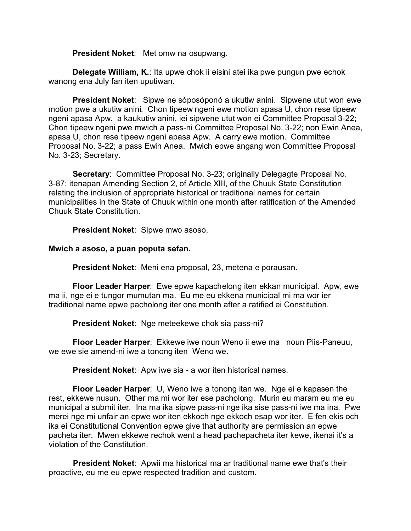**President Noket**: Met omw na osupwang.

**Delegate William, K.**: Ita upwe chok ii eisini atei ika pwe pungun pwe echok wanong ena July fan iten uputiwan.

**President Noket**: Sipwe ne sóposóponó a ukutiw anini. Sipwene utut won ewe motion pwe a ukutiw anini. Chon tipeew ngeni ewe motion apasa U, chon rese tipeew ngeni apasa Apw. a kaukutiw anini, iei sipwene utut won ei Committee Proposal 3-22; Chon tipeew ngeni pwe mwich a pass-ni Committee Proposal No. 3-22; non Ewin Anea, apasa U, chon rese tipeew ngeni apasa Apw. A carry ewe motion. Committee Proposal No. 3-22; a pass Ewin Anea. Mwich epwe angang won Committee Proposal No. 3-23; Secretary.

**Secretary**: Committee Proposal No. 3-23; originally Delegagte Proposal No. 3-87; itenapan Amending Section 2, of Article XIII, of the Chuuk State Constitution relating the inclusion of appropriate historical or traditional names for certain municipalities in the State of Chuuk within one month after ratification of the Amended Chuuk State Constitution.

**President Noket**: Sipwe mwo asoso.

## **Mwich a asoso, a puan poputa sefan.**

**President Noket**: Meni ena proposal, 23, metena e porausan.

**Floor Leader Harper**: Ewe epwe kapachelong iten ekkan municipal. Apw, ewe ma ii, nge ei e tungor mumutan ma. Eu me eu ekkena municipal mi ma wor ier traditional name epwe pacholong iter one month after a ratified ei Constitution.

**President Noket**: Nge meteekewe chok sia pass-ni?

**Floor Leader Harper**: Ekkewe iwe noun Weno ii ewe ma noun Piis-Paneuu, we ewe sie amend-ni iwe a tonong iten Weno we.

**President Noket**: Apw iwe sia - a wor iten historical names.

**Floor Leader Harper**: U, Weno iwe a tonong itan we. Nge ei e kapasen the rest, ekkewe nusun. Other ma mi wor iter ese pacholong. Murin eu maram eu me eu municipal a submit iter. Ina ma ika sipwe pass-ni nge ika sise pass-ni iwe ma ina. Pwe merei nge mi unfair an epwe wor iten ekkoch nge ekkoch esap wor iter. E fen ekis och ika ei Constitutional Convention epwe give that authority are permission an epwe pacheta iter. Mwen ekkewe rechok went a head pachepacheta iter kewe, ikenai it's a violation of the Constitution.

**President Noket**: Apwii ma historical ma ar traditional name ewe that's their proactive, eu me eu epwe respected tradition and custom.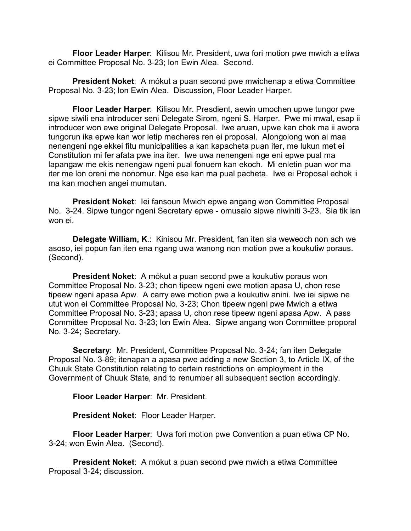**Floor Leader Harper**: Kilisou Mr. President, uwa fori motion pwe mwich a etiwa ei Committee Proposal No. 3-23; lon Ewin Alea. Second.

**President Noket**: A mókut a puan second pwe mwichenap a etiwa Committee Proposal No. 3-23; lon Ewin Alea. Discussion, Floor Leader Harper.

**Floor Leader Harper**: Kilisou Mr. Presdient, aewin umochen upwe tungor pwe sipwe siwili ena introducer seni Delegate Sirom, ngeni S. Harper. Pwe mi mwal, esap ii introducer won ewe original Delegate Proposal. Iwe aruan, upwe kan chok ma ii awora tungorun ika epwe kan wor letip mecheres ren ei proposal. Alongolong won ai maa nenengeni nge ekkei fitu municipalities a kan kapacheta puan iter, me lukun met ei Constitution mi fer afata pwe ina iter. Iwe uwa nenengeni nge eni epwe pual ma lapangaw me ekis nenengaw ngeni pual fonuem kan ekoch. Mi enletin puan wor ma iter me lon oreni me nonomur. Nge ese kan ma pual pacheta. Iwe ei Proposal echok ii ma kan mochen angei mumutan.

**President Noket**: Iei fansoun Mwich epwe angang won Committee Proposal No. 3-24. Sipwe tungor ngeni Secretary epwe - omusalo sipwe niwiniti 3-23. Sia tik ian won ei.

**Delegate William, K**.: Kinisou Mr. President, fan iten sia weweoch non ach we asoso, iei popun fan iten ena ngang uwa wanong non motion pwe a koukutiw poraus. (Second).

**President Noket**: A mókut a puan second pwe a koukutiw poraus won Committee Proposal No. 3-23; chon tipeew ngeni ewe motion apasa U, chon rese tipeew ngeni apasa Apw. A carry ewe motion pwe a koukutiw anini. Iwe iei sipwe ne utut won ei Committee Proposal No. 3-23; Chon tipeew ngeni pwe Mwich a etiwa Committee Proposal No. 3-23; apasa U, chon rese tipeew ngeni apasa Apw. A pass Committee Proposal No. 3-23; lon Ewin Alea. Sipwe angang won Committee proporal No. 3-24; Secretary.

**Secretary**: Mr. President, Committee Proposal No. 3-24; fan iten Delegate Proposal No. 3-89; itenapan a apasa pwe adding a new Section 3, to Article IX, of the Chuuk State Constitution relating to certain restrictions on employment in the Government of Chuuk State, and to renumber all subsequent section accordingly.

**Floor Leader Harper**: Mr. President.

**President Noket**: Floor Leader Harper.

**Floor Leader Harper**: Uwa fori motion pwe Convention a puan etiwa CP No. 3-24; won Ewin Alea. (Second).

**President Noket**: A mókut a puan second pwe mwich a etiwa Committee Proposal 3-24; discussion.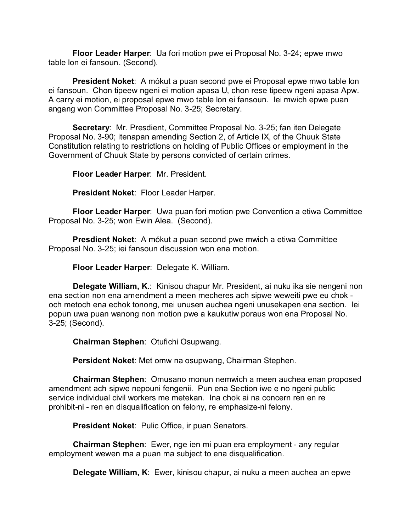**Floor Leader Harper**: Ua fori motion pwe ei Proposal No. 3-24; epwe mwo table lon ei fansoun. (Second).

**President Noket**: A mókut a puan second pwe ei Proposal epwe mwo table lon ei fansoun. Chon tipeew ngeni ei motion apasa U, chon rese tipeew ngeni apasa Apw. A carry ei motion, ei proposal epwe mwo table lon ei fansoun. Iei mwich epwe puan angang won Committee Proposal No. 3-25; Secretary.

**Secretary**: Mr. Presdient, Committee Proposal No. 3-25; fan iten Delegate Proposal No. 3-90; itenapan amending Section 2, of Article IX, of the Chuuk State Constitution relating to restrictions on holding of Public Offices or employment in the Government of Chuuk State by persons convicted of certain crimes.

**Floor Leader Harper**: Mr. President.

**President Noket**: Floor Leader Harper.

**Floor Leader Harper**: Uwa puan fori motion pwe Convention a etiwa Committee Proposal No. 3-25; won Ewin Alea. (Second).

**Presdient Noket**: A mókut a puan second pwe mwich a etiwa Committee Proposal No. 3-25; iei fansoun discussion won ena motion.

**Floor Leader Harper**: Delegate K. William.

**Delegate William, K**.: Kinisou chapur Mr. President, ai nuku ika sie nengeni non ena section non ena amendment a meen mecheres ach sipwe weweiti pwe eu chok och metoch ena echok tonong, mei unusen auchea ngeni unusekapen ena section. Iei popun uwa puan wanong non motion pwe a kaukutiw poraus won ena Proposal No. 3-25; (Second).

**Chairman Stephen**: Otufichi Osupwang.

**Persident Noket**: Met omw na osupwang, Chairman Stephen.

**Chairman Stephen**: Omusano monun nemwich a meen auchea enan proposed amendment ach sipwe nepouni fengenii. Pun ena Section iwe e no ngeni public service individual civil workers me metekan. Ina chok ai na concern ren en re prohibit-ni - ren en disqualification on felony, re emphasize-ni felony.

**President Noket**: Pulic Office, ir puan Senators.

**Chairman Stephen**: Ewer, nge ien mi puan era employment - any regular employment wewen ma a puan ma subject to ena disqualification.

**Delegate William, K**: Ewer, kinisou chapur, ai nuku a meen auchea an epwe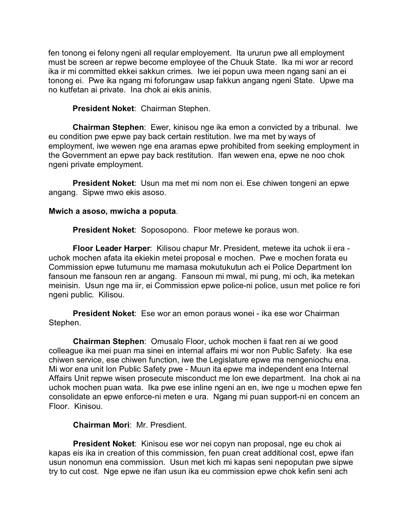fen tonong ei felony ngeni all reqular employement. Ita ururun pwe all employment must be screen ar repwe become employee of the Chuuk State. Ika mi wor ar record ika ir mi committed ekkei sakkun crimes. Iwe iei popun uwa meen ngang sani an ei tonong ei. Pwe ika ngang mi foforungaw usap fakkun angang ngeni State. Upwe ma no kutfetan ai private. Ina chok ai ekis aninis.

**President Noket**: Chairman Stephen.

**Chairman Stephen**: Ewer, kinisou nge ika emon a convicted by a tribunal. Iwe eu condition pwe epwe pay back certain restitution. Iwe ma met by ways of employment, iwe wewen nge ena aramas epwe prohibited from seeking employment in the Government an epwe pay back restitution. Ifan wewen ena, epwe ne noo chok ngeni private employment.

**President Noket**: Usun ma met mi nom non ei. Ese chiwen tongeni an epwe angang. Sipwe mwo ekis asoso.

### **Mwich a asoso, mwicha a poputa**.

**President Noket**: Soposopono. Floor metewe ke poraus won.

**Floor Leader Harper**: Kilisou chapur Mr. President, metewe ita uchok ii era uchok mochen afata ita ekiekin metei proposal e mochen. Pwe e mochen forata eu Commission epwe tutumunu me mamasa mokutukutun ach ei Police Department lon fansoun me fansoun ren ar angang. Fansoun mi mwal, mi pung, mi och, ika metekan meinisin. Usun nge ma iir, ei Commission epwe police-ni police, usun met police re fori ngeni public. Kilisou.

**President Noket**: Ese wor an emon poraus wonei - ika ese wor Chairman Stephen.

**Chairman Stephen**: Omusalo Floor, uchok mochen ii faat ren ai we good colleague ika mei puan ma sinei en internal affairs mi wor non Public Safety. Ika ese chiwen service, ese chiwen function, iwe the Legislature epwe ma nengeniochu ena. Mi wor ena unit lon Public Safety pwe - Muun ita epwe ma independent ena Internal Affairs Unit repwe wisen prosecute misconduct me lon ewe department. Ina chok ai na uchok mochen puan wata. Ika pwe ese inline ngeni an en, iwe nge u mochen epwe fen consolidate an epwe enforce-ni meten e ura. Ngang mi puan support-ni en concern an Floor. Kinisou.

# **Chairman Mori**: Mr. Presdient.

**President Noket**: Kinisou ese wor nei copyn nan proposal, nge eu chok ai kapas eis ika in creation of this commission, fen puan creat additional cost, epwe ifan usun nonomun ena commission. Usun met kich mi kapas seni nepoputan pwe sipwe try to cut cost. Nge epwe ne ifan usun ika eu commission epwe chok kefin seni ach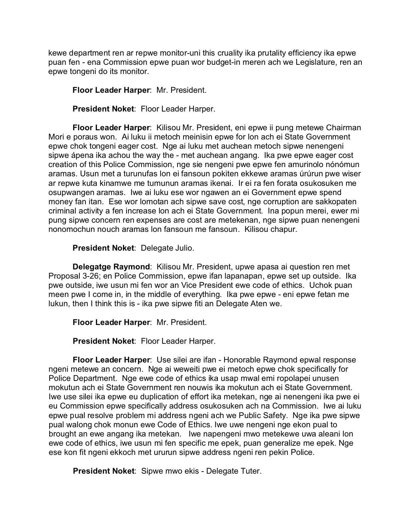kewe department ren ar repwe monitor-uni this cruality ika prutality efficiency ika epwe puan fen - ena Commission epwe puan wor budget-in meren ach we Legislature, ren an epwe tongeni do its monitor.

**Floor Leader Harper**: Mr. President.

**President Noket**: Floor Leader Harper.

**Floor Leader Harper**: Kilisou Mr. President, eni epwe ii pung metewe Chairman Mori e poraus won. Ai luku ii metoch meinisin epwe for lon ach ei State Government epwe chok tongeni eager cost. Nge ai luku met auchean metoch sipwe nenengeni sipwe ápena ika achou the way the - met auchean angang. Ika pwe epwe eager cost creation of this Police Commission, nge sie nengeni pwe epwe fen amurinolo nónómun aramas. Usun met a turunufas lon ei fansoun pokiten ekkewe aramas úrúrun pwe wiser ar repwe kuta kinamwe me tumunun aramas ikenai. Ir ei ra fen forata osukosuken me osupwangen aramas. Iwe ai luku ese wor ngawen an ei Government epwe spend money fan itan. Ese wor lomotan ach sipwe save cost, nge corruption are sakkopaten criminal activity a fen increase lon ach ei State Government. Ina popun merei, ewer mi pung sipwe concern ren expenses are cost are metekenan, nge sipwe puan nenengeni nonomochun nouch aramas lon fansoun me fansoun. Kilisou chapur.

# **President Noket**: Delegate Julio.

**Delegatge Raymond**: Kilisou Mr. President, upwe apasa ai question ren met Proposal 3-26; en Police Commission, epwe ifan lapanapan, epwe set up outside. Ika pwe outside, iwe usun mi fen wor an Vice President ewe code of ethics. Uchok puan meen pwe I come in, in the middle of everything. Ika pwe epwe - eni epwe fetan me lukun, then I think this is - ika pwe sipwe fiti an Delegate Aten we.

**Floor Leader Harper**: Mr. President.

**President Noket**: Floor Leader Harper.

**Floor Leader Harper**: Use silei are ifan - Honorable Raymond epwal response ngeni metewe an concern. Nge ai weweiti pwe ei metoch epwe chok specifically for Police Department. Nge ewe code of ethics ika usap mwal emi ropolapei unusen mokutun ach ei State Government ren nouwis ika mokutun ach ei State Government. Iwe use silei ika epwe eu duplication of effort ika metekan, nge ai nenengeni ika pwe ei eu Commission epwe specifically address osukosuken ach na Commission. Iwe ai luku epwe pual resolve problem mi address ngeni ach we Public Safety. Nge ika pwe sipwe pual walong chok monun ewe Code of Ethics. Iwe uwe nengeni nge ekon pual to brought an ewe angang ika metekan. Iwe napengeni mwo metekewe uwa aleani lon ewe code of ethics, iwe usun mi fen specific me epek, puan generalize me epek. Nge ese kon fit ngeni ekkoch met ururun sipwe address ngeni ren pekin Police.

**President Noket**: Sipwe mwo ekis - Delegate Tuter.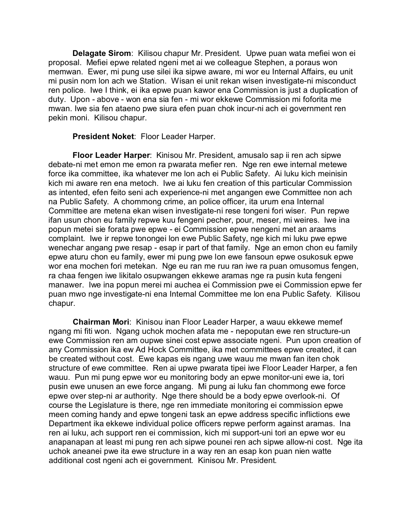**Delagate Sirom**: Kilisou chapur Mr. President. Upwe puan wata mefiei won ei proposal. Mefiei epwe related ngeni met ai we colleague Stephen, a poraus won memwan. Ewer, mi pung use silei ika sipwe aware, mi wor eu Internal Affairs, eu unit mi pusin nom lon ach we Station. Wisan ei unit rekan wisen investigate-ni misconduct ren police. Iwe I think, ei ika epwe puan kawor ena Commission is just a duplication of duty. Upon - above - won ena sia fen - mi wor ekkewe Commission mi foforita me mwan. Iwe sia fen ataeno pwe siura efen puan chok incur-ni ach ei government ren pekin moni. Kilisou chapur.

**President Noket**: Floor Leader Harper.

**Floor Leader Harper**: Kinisou Mr. President, amusalo sap ii ren ach sipwe debate-ni met emon me emon ra pwarata mefier ren. Nge ren ewe internal metewe force ika committee, ika whatever me lon ach ei Public Safety. Ai luku kich meinisin kich mi aware ren ena metoch. Iwe ai luku fen creation of this particular Commission as intented, efen feito seni ach experience-ni met angangen ewe Committee non ach na Public Safety. A chommong crime, an police officer, ita ururn ena Internal Committee are metena ekan wisen investigate-ni rese tongeni fori wiser. Pun repwe ifan usun chon eu family repwe kuu fengeni pecher, pour, meser, mi weires. Iwe ina popun metei sie forata pwe epwe - ei Commission epwe nengeni met an araams complaint. Iwe ir repwe tonongei lon ewe Public Safety, nge kich mi luku pwe epwe wenechar angang pwe resap - esap ir part of that family. Nge an emon chon eu family epwe aturu chon eu family, ewer mi pung pwe lon ewe fansoun epwe osukosuk epwe wor ena mochen fori metekan. Nge eu ran me ruu ran iwe ra puan omusomus fengen, ra chaa fengen iwe likitalo osupwangen ekkewe aramas nge ra pusin kuta fengeni manawer. Iwe ina popun merei mi auchea ei Commission pwe ei Commission epwe fer puan mwo nge investigate-ni ena Internal Committee me lon ena Public Safety. Kilisou chapur.

**Chairman Mori**: Kinisou inan Floor Leader Harper, a wauu ekkewe memef ngang mi fiti won. Ngang uchok mochen afata me - nepoputan ewe ren structure-un ewe Commission ren am oupwe sinei cost epwe associate ngeni. Pun upon creation of any Commission ika ew Ad Hock Committee, ika met committees epwe created, it can be created without cost. Ewe kapas eis ngang uwe wauu me mwan fan iten chok structure of ewe committee. Ren ai upwe pwarata tipei iwe Floor Leader Harper, a fen wauu. Pun mi pung epwe wor eu monitoring body an epwe monitor-uni ewe ia, tori pusin ewe unusen an ewe force angang. Mi pung ai luku fan chommong ewe force epwe over step-ni ar authority. Nge there should be a body epwe overlook-ni. Of course the Legislature is there, nge ren immediate monitoring ei commission epwe meen coming handy and epwe tongeni task an epwe address specific inflictions ewe Department ika ekkewe individual police officers repwe perform against aramas. Ina ren ai luku, ach support ren ei commission, kich mi support-uni tori an epwe wor eu anapanapan at least mi pung ren ach sipwe pounei ren ach sipwe allow-ni cost. Nge ita uchok aneanei pwe ita ewe structure in a way ren an esap kon puan nien watte additional cost ngeni ach ei government. Kinisou Mr. President.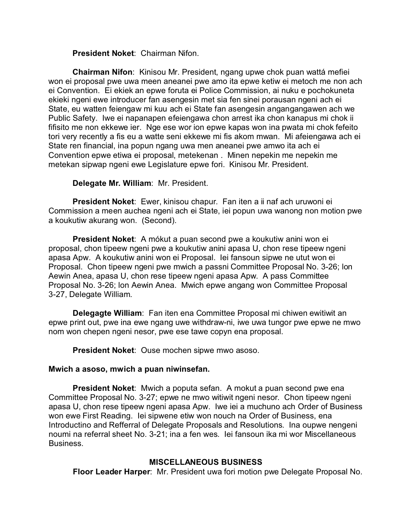**President Noket**: Chairman Nifon.

**Chairman Nifon**: Kinisou Mr. President, ngang upwe chok puan wattá mefiei won ei proposal pwe uwa meen aneanei pwe amo ita epwe ketiw ei metoch me non ach ei Convention. Ei ekiek an epwe foruta ei Police Commission, ai nuku e pochokuneta ekieki ngeni ewe introducer fan asengesin met sia fen sinei porausan ngeni ach ei State, eu watten feiengaw mi kuu ach ei State fan asengesin angangangawen ach we Public Safety. Iwe ei napanapen efeiengawa chon arrest ika chon kanapus mi chok ii fifisito me non ekkewe ier. Nge ese wor ion epwe kapas won ina pwata mi chok fefeito tori very recently a fis eu a watte seni ekkewe mi fis akom mwan. Mi afeiengawa ach ei State ren financial, ina popun ngang uwa men aneanei pwe amwo ita ach ei Convention epwe etiwa ei proposal, metekenan . Minen nepekin me nepekin me metekan sipwap ngeni ewe Legislature epwe fori. Kinisou Mr. President.

**Delegate Mr. William**: Mr. President.

**President Noket**: Ewer, kinisou chapur. Fan iten a ii naf ach uruwoni ei Commission a meen auchea ngeni ach ei State, iei popun uwa wanong non motion pwe a koukutiw akurang won. (Second).

**President Noket**: A mókut a puan second pwe a koukutiw anini won ei proposal, chon tipeew ngeni pwe a koukutiw anini apasa U, chon rese tipeew ngeni apasa Apw. A koukutiw anini won ei Proposal. Iei fansoun sipwe ne utut won ei Proposal. Chon tipeew ngeni pwe mwich a passni Committee Proposal No. 3-26; lon Aewin Anea, apasa U, chon rese tipeew ngeni apasa Apw. A pass Committee Proposal No. 3-26; lon Aewin Anea. Mwich epwe angang won Committee Proposal 3-27, Delegate William.

**Delegagte William**: Fan iten ena Committee Proposal mi chiwen ewitiwit an epwe print out, pwe ina ewe ngang uwe withdraw-ni, iwe uwa tungor pwe epwe ne mwo nom won chepen ngeni nesor, pwe ese tawe copyn ena proposal.

**President Noket**: Ouse mochen sipwe mwo asoso.

### **Mwich a asoso, mwich a puan niwinsefan.**

**President Noket**: Mwich a poputa sefan. A mokut a puan second pwe ena Committee Proposal No. 3-27; epwe ne mwo witiwit ngeni nesor. Chon tipeew ngeni apasa U, chon rese tipeew ngeni apasa Apw. Iwe iei a muchuno ach Order of Business won ewe First Reading. Iei sipwene etiw won nouch na Order of Business, ena Introductino and Refferral of Delegate Proposals and Resolutions. Ina oupwe nengeni noumi na referral sheet No. 3-21; ina a fen wes. Iei fansoun ika mi wor Miscellaneous Business.

# **MISCELLANEOUS BUSINESS**

**Floor Leader Harper**: Mr. President uwa fori motion pwe Delegate Proposal No.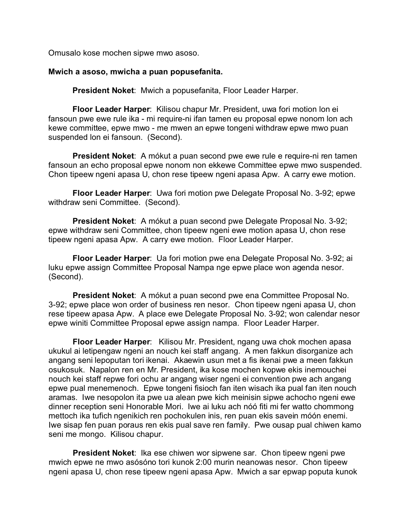Omusalo kose mochen sipwe mwo asoso.

#### **Mwich a asoso, mwicha a puan popusefanita.**

**President Noket**: Mwich a popusefanita, Floor Leader Harper.

**Floor Leader Harper**: Kilisou chapur Mr. President, uwa fori motion lon ei fansoun pwe ewe rule ika - mi require-ni ifan tamen eu proposal epwe nonom lon ach kewe committee, epwe mwo - me mwen an epwe tongeni withdraw epwe mwo puan suspended lon ei fansoun. (Second).

**President Noket**: A mókut a puan second pwe ewe rule e require-ni ren tamen fansoun an echo proposal epwe nonom non ekkewe Committee epwe mwo suspended. Chon tipeew ngeni apasa U, chon rese tipeew ngeni apasa Apw. A carry ewe motion.

**Floor Leader Harper**: Uwa fori motion pwe Delegate Proposal No. 3-92; epwe withdraw seni Committee. (Second).

**President Noket**: A mókut a puan second pwe Delegate Proposal No. 3-92; epwe withdraw seni Committee, chon tipeew ngeni ewe motion apasa U, chon rese tipeew ngeni apasa Apw. A carry ewe motion. Floor Leader Harper.

**Floor Leader Harper**: Ua fori motion pwe ena Delegate Proposal No. 3-92; ai luku epwe assign Committee Proposal Nampa nge epwe place won agenda nesor. (Second).

**President Noket**: A mókut a puan second pwe ena Committee Proposal No. 3-92; epwe place won order of business ren nesor. Chon tipeew ngeni apasa U, chon rese tipeew apasa Apw. A place ewe Delegate Proposal No. 3-92; won calendar nesor epwe winiti Committee Proposal epwe assign nampa. Floor Leader Harper.

**Floor Leader Harper**: Kilisou Mr. President, ngang uwa chok mochen apasa ukukul ai letipengaw ngeni an nouch kei staff angang. A men fakkun disorganize ach angang seni lepoputan tori ikenai. Akaewin usun met a fis ikenai pwe a meen fakkun osukosuk. Napalon ren en Mr. President, ika kose mochen kopwe ekis inemouchei nouch kei staff repwe fori ochu ar angang wiser ngeni ei convention pwe ach angang epwe pual menemenoch. Epwe tongeni fisioch fan iten wisach ika pual fan iten nouch aramas. Iwe nesopolon ita pwe ua alean pwe kich meinisin sipwe achocho ngeni ewe dinner reception seni Honorable Mori. Iwe ai luku ach nóó fiti mi fer watto chommong mettoch ika tufich ngenikich ren pochokulen inis, ren puan ekis savein móón enemi. Iwe sisap fen puan poraus ren ekis pual save ren family. Pwe ousap pual chiwen kamo seni me mongo. Kilisou chapur.

**President Noket**: Ika ese chiwen wor sipwene sar. Chon tipeew ngeni pwe mwich epwe ne mwo asósóno tori kunok 2:00 murin neanowas nesor. Chon tipeew ngeni apasa U, chon rese tipeew ngeni apasa Apw. Mwich a sar epwap poputa kunok